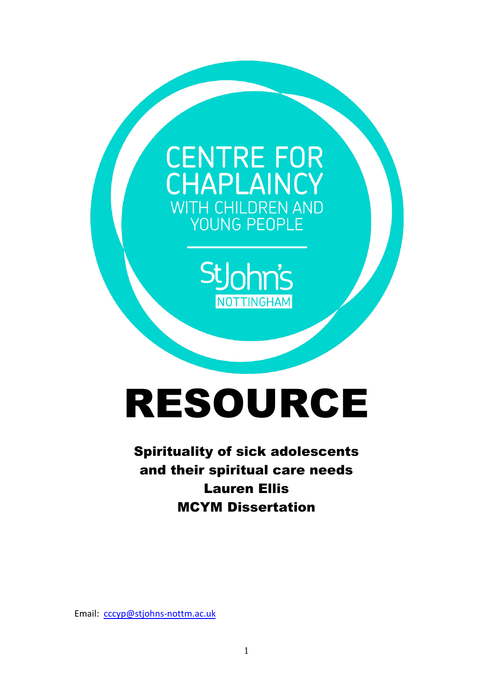## **CENTRE FOR** CHAPLAINCY WITH CHILDREN AND YOUNG PEOPLE



# RESOURCE

### Spirituality of sick adolescents and their spiritual care needs Lauren Ellis MCYM Dissertation

Email: [cccyp@stjohns-nottm.ac.uk](mailto:cccyp@stjohns-nottm.ac.uk)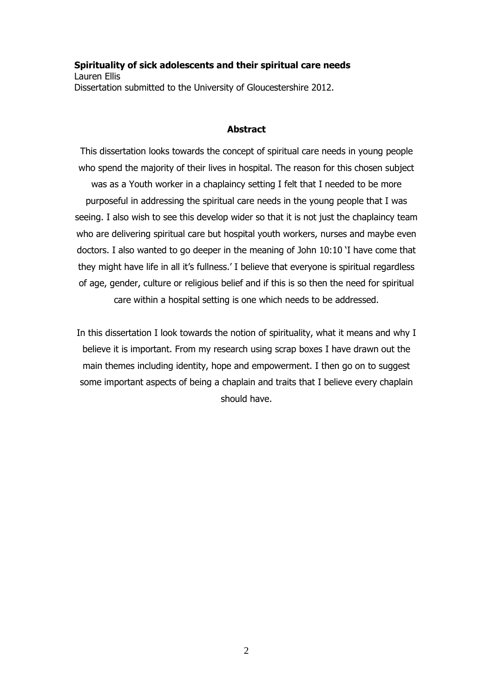#### **Spirituality of sick adolescents and their spiritual care needs** Lauren Ellis Dissertation submitted to the University of Gloucestershire 2012.

#### **Abstract**

This dissertation looks towards the concept of spiritual care needs in young people who spend the majority of their lives in hospital. The reason for this chosen subject was as a Youth worker in a chaplaincy setting I felt that I needed to be more purposeful in addressing the spiritual care needs in the young people that I was seeing. I also wish to see this develop wider so that it is not just the chaplaincy team who are delivering spiritual care but hospital youth workers, nurses and maybe even doctors. I also wanted to go deeper in the meaning of John 10:10 'I have come that they might have life in all it's fullness.' I believe that everyone is spiritual regardless of age, gender, culture or religious belief and if this is so then the need for spiritual care within a hospital setting is one which needs to be addressed.

In this dissertation I look towards the notion of spirituality, what it means and why I believe it is important. From my research using scrap boxes I have drawn out the main themes including identity, hope and empowerment. I then go on to suggest some important aspects of being a chaplain and traits that I believe every chaplain should have.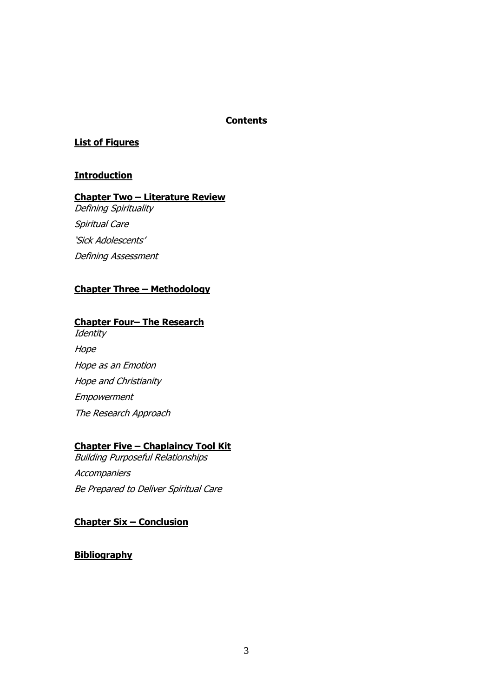#### **Contents**

#### **List of Figures**

#### **Introduction**

#### **Chapter Two – Literature Review**

Defining Spirituality Spiritual Care 'Sick Adolescents' Defining Assessment

#### **Chapter Three – Methodology**

#### **Chapter Four– The Research**

**Identity Hope** Hope as an Emotion Hope and Christianity Empowerment The Research Approach

#### **Chapter Five – Chaplaincy Tool Kit**

Building Purposeful Relationships **Accompaniers** Be Prepared to Deliver Spiritual Care

#### **Chapter Six – Conclusion**

#### **Bibliography**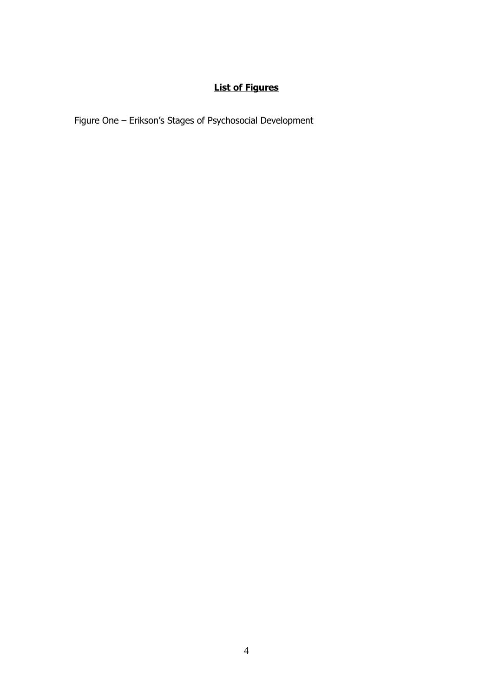#### **List of Figures**

Figure One – Erikson's Stages of Psychosocial Development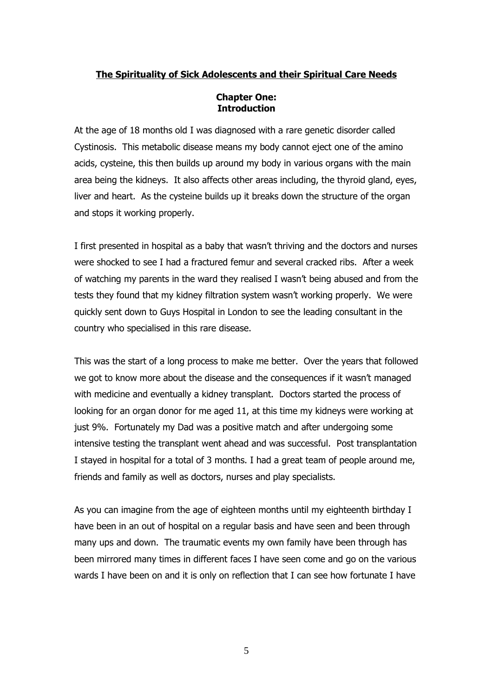#### **The Spirituality of Sick Adolescents and their Spiritual Care Needs**

#### **Chapter One: Introduction**

At the age of 18 months old I was diagnosed with a rare genetic disorder called Cystinosis. This metabolic disease means my body cannot eject one of the amino acids, cysteine, this then builds up around my body in various organs with the main area being the kidneys. It also affects other areas including, the thyroid gland, eyes, liver and heart. As the cysteine builds up it breaks down the structure of the organ and stops it working properly.

I first presented in hospital as a baby that wasn't thriving and the doctors and nurses were shocked to see I had a fractured femur and several cracked ribs. After a week of watching my parents in the ward they realised I wasn't being abused and from the tests they found that my kidney filtration system wasn't working properly. We were quickly sent down to Guys Hospital in London to see the leading consultant in the country who specialised in this rare disease.

This was the start of a long process to make me better. Over the years that followed we got to know more about the disease and the consequences if it wasn't managed with medicine and eventually a kidney transplant. Doctors started the process of looking for an organ donor for me aged 11, at this time my kidneys were working at just 9%. Fortunately my Dad was a positive match and after undergoing some intensive testing the transplant went ahead and was successful. Post transplantation I stayed in hospital for a total of 3 months. I had a great team of people around me, friends and family as well as doctors, nurses and play specialists.

As you can imagine from the age of eighteen months until my eighteenth birthday I have been in an out of hospital on a regular basis and have seen and been through many ups and down. The traumatic events my own family have been through has been mirrored many times in different faces I have seen come and go on the various wards I have been on and it is only on reflection that I can see how fortunate I have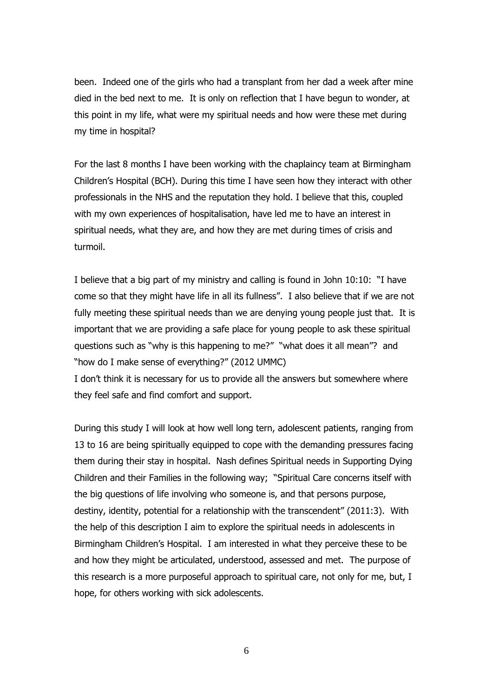been. Indeed one of the girls who had a transplant from her dad a week after mine died in the bed next to me. It is only on reflection that I have begun to wonder, at this point in my life, what were my spiritual needs and how were these met during my time in hospital?

For the last 8 months I have been working with the chaplaincy team at Birmingham Children's Hospital (BCH). During this time I have seen how they interact with other professionals in the NHS and the reputation they hold. I believe that this, coupled with my own experiences of hospitalisation, have led me to have an interest in spiritual needs, what they are, and how they are met during times of crisis and turmoil.

I believe that a big part of my ministry and calling is found in John 10:10: "I have come so that they might have life in all its fullness". I also believe that if we are not fully meeting these spiritual needs than we are denying young people just that. It is important that we are providing a safe place for young people to ask these spiritual questions such as "why is this happening to me?" "what does it all mean"? and "how do I make sense of everything?" (2012 UMMC)

I don't think it is necessary for us to provide all the answers but somewhere where they feel safe and find comfort and support.

During this study I will look at how well long tern, adolescent patients, ranging from 13 to 16 are being spiritually equipped to cope with the demanding pressures facing them during their stay in hospital. Nash defines Spiritual needs in Supporting Dying Children and their Families in the following way; "Spiritual Care concerns itself with the big questions of life involving who someone is, and that persons purpose, destiny, identity, potential for a relationship with the transcendent" (2011:3). With the help of this description I aim to explore the spiritual needs in adolescents in Birmingham Children's Hospital. I am interested in what they perceive these to be and how they might be articulated, understood, assessed and met. The purpose of this research is a more purposeful approach to spiritual care, not only for me, but, I hope, for others working with sick adolescents.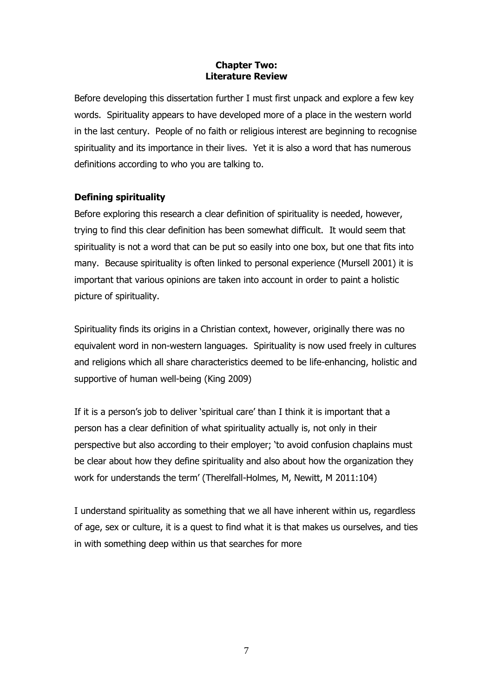#### **Chapter Two: Literature Review**

Before developing this dissertation further I must first unpack and explore a few key words. Spirituality appears to have developed more of a place in the western world in the last century. People of no faith or religious interest are beginning to recognise spirituality and its importance in their lives. Yet it is also a word that has numerous definitions according to who you are talking to.

#### **Defining spirituality**

Before exploring this research a clear definition of spirituality is needed, however, trying to find this clear definition has been somewhat difficult. It would seem that spirituality is not a word that can be put so easily into one box, but one that fits into many. Because spirituality is often linked to personal experience (Mursell 2001) it is important that various opinions are taken into account in order to paint a holistic picture of spirituality.

Spirituality finds its origins in a Christian context, however, originally there was no equivalent word in non-western languages. Spirituality is now used freely in cultures and religions which all share characteristics deemed to be life-enhancing, holistic and supportive of human well-being (King 2009)

If it is a person's job to deliver 'spiritual care' than I think it is important that a person has a clear definition of what spirituality actually is, not only in their perspective but also according to their employer; 'to avoid confusion chaplains must be clear about how they define spirituality and also about how the organization they work for understands the term' (Therelfall-Holmes, M, Newitt, M 2011:104)

I understand spirituality as something that we all have inherent within us, regardless of age, sex or culture, it is a quest to find what it is that makes us ourselves, and ties in with something deep within us that searches for more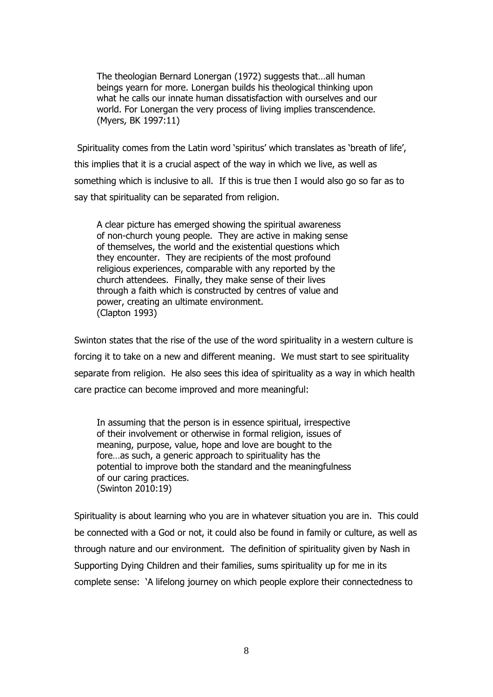The theologian Bernard Lonergan (1972) suggests that…all human beings yearn for more. Lonergan builds his theological thinking upon what he calls our innate human dissatisfaction with ourselves and our world. For Lonergan the very process of living implies transcendence. (Myers, BK 1997:11)

Spirituality comes from the Latin word 'spiritus' which translates as 'breath of life', this implies that it is a crucial aspect of the way in which we live, as well as something which is inclusive to all. If this is true then I would also go so far as to say that spirituality can be separated from religion.

A clear picture has emerged showing the spiritual awareness of non-church young people. They are active in making sense of themselves, the world and the existential questions which they encounter. They are recipients of the most profound religious experiences, comparable with any reported by the church attendees. Finally, they make sense of their lives through a faith which is constructed by centres of value and power, creating an ultimate environment. (Clapton 1993)

Swinton states that the rise of the use of the word spirituality in a western culture is forcing it to take on a new and different meaning. We must start to see spirituality separate from religion. He also sees this idea of spirituality as a way in which health care practice can become improved and more meaningful:

In assuming that the person is in essence spiritual, irrespective of their involvement or otherwise in formal religion, issues of meaning, purpose, value, hope and love are bought to the fore…as such, a generic approach to spirituality has the potential to improve both the standard and the meaningfulness of our caring practices. (Swinton 2010:19)

Spirituality is about learning who you are in whatever situation you are in. This could be connected with a God or not, it could also be found in family or culture, as well as through nature and our environment. The definition of spirituality given by Nash in Supporting Dying Children and their families, sums spirituality up for me in its complete sense: 'A lifelong journey on which people explore their connectedness to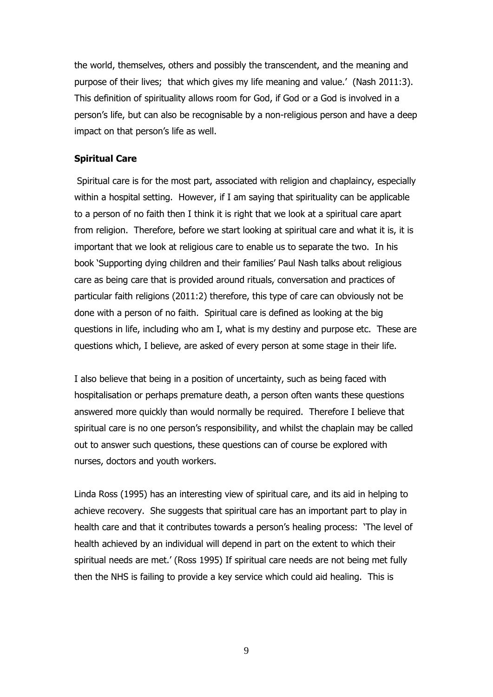the world, themselves, others and possibly the transcendent, and the meaning and purpose of their lives; that which gives my life meaning and value.' (Nash 2011:3). This definition of spirituality allows room for God, if God or a God is involved in a person's life, but can also be recognisable by a non-religious person and have a deep impact on that person's life as well.

#### **Spiritual Care**

Spiritual care is for the most part, associated with religion and chaplaincy, especially within a hospital setting. However, if I am saying that spirituality can be applicable to a person of no faith then I think it is right that we look at a spiritual care apart from religion. Therefore, before we start looking at spiritual care and what it is, it is important that we look at religious care to enable us to separate the two. In his book 'Supporting dying children and their families' Paul Nash talks about religious care as being care that is provided around rituals, conversation and practices of particular faith religions (2011:2) therefore, this type of care can obviously not be done with a person of no faith. Spiritual care is defined as looking at the big questions in life, including who am I, what is my destiny and purpose etc. These are questions which, I believe, are asked of every person at some stage in their life.

I also believe that being in a position of uncertainty, such as being faced with hospitalisation or perhaps premature death, a person often wants these questions answered more quickly than would normally be required. Therefore I believe that spiritual care is no one person's responsibility, and whilst the chaplain may be called out to answer such questions, these questions can of course be explored with nurses, doctors and youth workers.

Linda Ross (1995) has an interesting view of spiritual care, and its aid in helping to achieve recovery. She suggests that spiritual care has an important part to play in health care and that it contributes towards a person's healing process: 'The level of health achieved by an individual will depend in part on the extent to which their spiritual needs are met.' (Ross 1995) If spiritual care needs are not being met fully then the NHS is failing to provide a key service which could aid healing. This is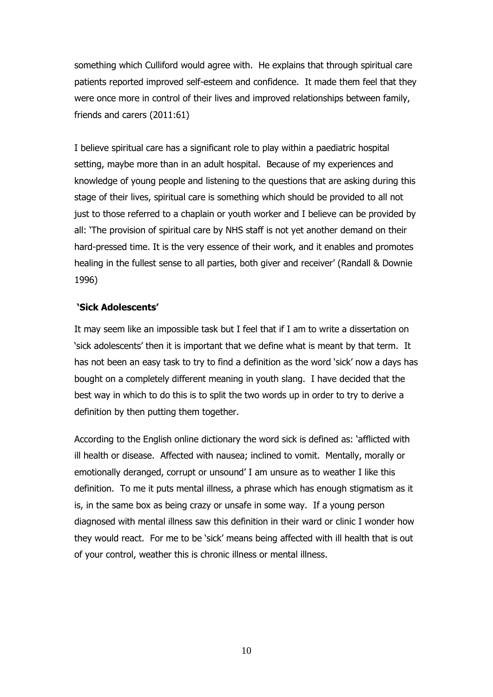something which Culliford would agree with. He explains that through spiritual care patients reported improved self-esteem and confidence. It made them feel that they were once more in control of their lives and improved relationships between family, friends and carers (2011:61)

I believe spiritual care has a significant role to play within a paediatric hospital setting, maybe more than in an adult hospital. Because of my experiences and knowledge of young people and listening to the questions that are asking during this stage of their lives, spiritual care is something which should be provided to all not just to those referred to a chaplain or youth worker and I believe can be provided by all: 'The provision of spiritual care by NHS staff is not yet another demand on their hard-pressed time. It is the very essence of their work, and it enables and promotes healing in the fullest sense to all parties, both giver and receiver' (Randall & Downie 1996)

#### **'Sick Adolescents'**

It may seem like an impossible task but I feel that if I am to write a dissertation on 'sick adolescents' then it is important that we define what is meant by that term. It has not been an easy task to try to find a definition as the word 'sick' now a days has bought on a completely different meaning in youth slang. I have decided that the best way in which to do this is to split the two words up in order to try to derive a definition by then putting them together.

According to the English online dictionary the word sick is defined as: 'afflicted with ill health or disease. Affected with nausea; inclined to vomit. Mentally, morally or emotionally deranged, corrupt or unsound' I am unsure as to weather I like this definition. To me it puts mental illness, a phrase which has enough stigmatism as it is, in the same box as being crazy or unsafe in some way. If a young person diagnosed with mental illness saw this definition in their ward or clinic I wonder how they would react. For me to be 'sick' means being affected with ill health that is out of your control, weather this is chronic illness or mental illness.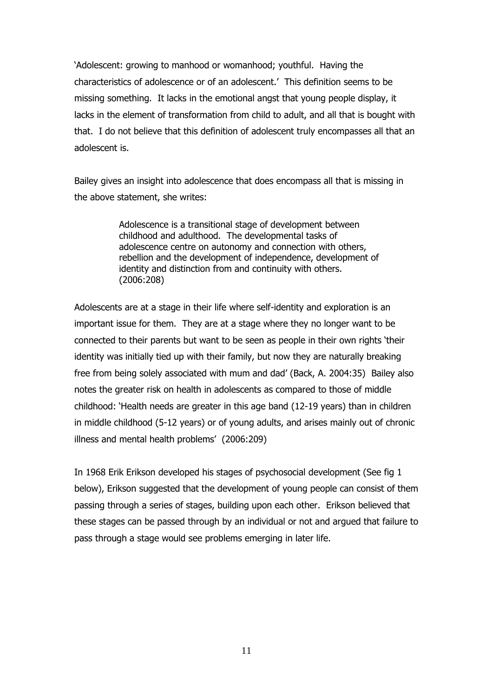'Adolescent: growing to manhood or womanhood; youthful. Having the characteristics of adolescence or of an adolescent.' This definition seems to be missing something. It lacks in the emotional angst that young people display, it lacks in the element of transformation from child to adult, and all that is bought with that. I do not believe that this definition of adolescent truly encompasses all that an adolescent is.

Bailey gives an insight into adolescence that does encompass all that is missing in the above statement, she writes:

> Adolescence is a transitional stage of development between childhood and adulthood. The developmental tasks of adolescence centre on autonomy and connection with others, rebellion and the development of independence, development of identity and distinction from and continuity with others. (2006:208)

Adolescents are at a stage in their life where self-identity and exploration is an important issue for them. They are at a stage where they no longer want to be connected to their parents but want to be seen as people in their own rights 'their identity was initially tied up with their family, but now they are naturally breaking free from being solely associated with mum and dad' (Back, A. 2004:35) Bailey also notes the greater risk on health in adolescents as compared to those of middle childhood: 'Health needs are greater in this age band (12-19 years) than in children in middle childhood (5-12 years) or of young adults, and arises mainly out of chronic illness and mental health problems' (2006:209)

In 1968 Erik Erikson developed his stages of psychosocial development (See fig 1 below), Erikson suggested that the development of young people can consist of them passing through a series of stages, building upon each other. Erikson believed that these stages can be passed through by an individual or not and argued that failure to pass through a stage would see problems emerging in later life.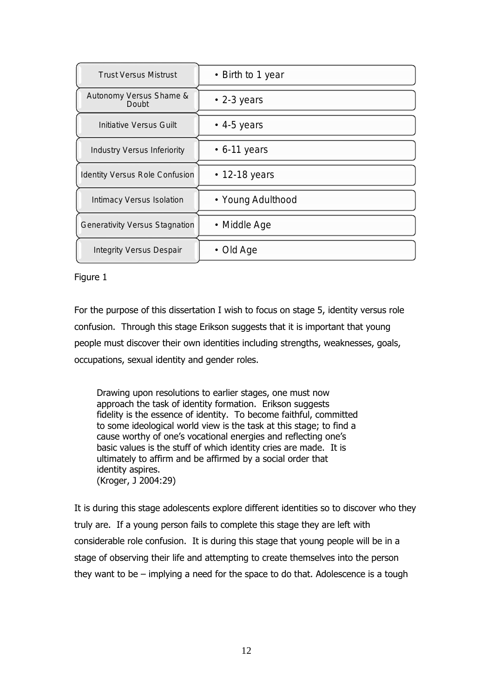| <b>Trust Versus Mistrust</b>     | • Birth to 1 year   |
|----------------------------------|---------------------|
| Autonomy Versus Shame &<br>Doubt | $\cdot$ 2-3 years   |
| Initiative Versus Guilt          | $\bullet$ 4-5 years |
| Industry Versus Inferiority      | $\cdot$ 6-11 years  |
| Identity Versus Role Confusion   | $\cdot$ 12-18 years |
| Intimacy Versus Isolation        | • Young Adulthood   |
| Generativity Versus Stagnation   | • Middle Age        |
| <b>Integrity Versus Despair</b>  | • Old Age           |

#### Figure 1

For the purpose of this dissertation I wish to focus on stage 5, identity versus role confusion. Through this stage Erikson suggests that it is important that young people must discover their own identities including strengths, weaknesses, goals, occupations, sexual identity and gender roles.

Drawing upon resolutions to earlier stages, one must now approach the task of identity formation. Erikson suggests fidelity is the essence of identity. To become faithful, committed to some ideological world view is the task at this stage; to find a cause worthy of one's vocational energies and reflecting one's basic values is the stuff of which identity cries are made. It is ultimately to affirm and be affirmed by a social order that identity aspires. (Kroger, J 2004:29)

It is during this stage adolescents explore different identities so to discover who they truly are. If a young person fails to complete this stage they are left with considerable role confusion. It is during this stage that young people will be in a stage of observing their life and attempting to create themselves into the person they want to be – implying a need for the space to do that. Adolescence is a tough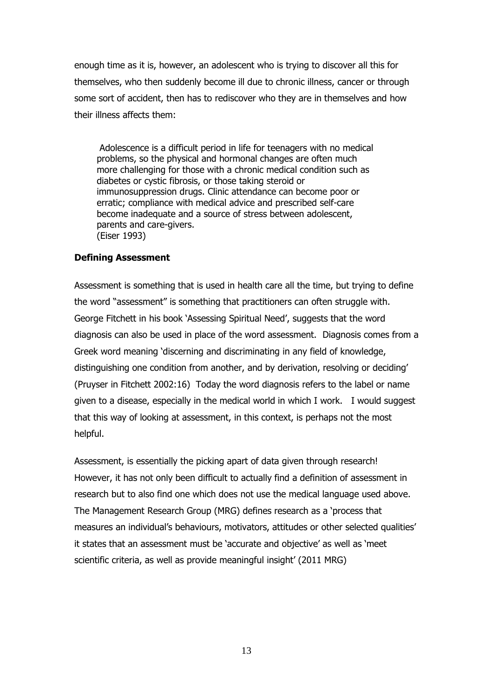enough time as it is, however, an adolescent who is trying to discover all this for themselves, who then suddenly become ill due to chronic illness, cancer or through some sort of accident, then has to rediscover who they are in themselves and how their illness affects them:

Adolescence is a difficult period in life for teenagers with no medical problems, so the physical and hormonal changes are often much more challenging for those with a chronic medical condition such as diabetes or cystic fibrosis, or those taking steroid or immunosuppression drugs. Clinic attendance can become poor or erratic; compliance with medical advice and prescribed self-care become inadequate and a source of stress between adolescent, parents and care-givers. (Eiser 1993)

#### **Defining Assessment**

Assessment is something that is used in health care all the time, but trying to define the word "assessment" is something that practitioners can often struggle with. George Fitchett in his book 'Assessing Spiritual Need', suggests that the word diagnosis can also be used in place of the word assessment. Diagnosis comes from a Greek word meaning 'discerning and discriminating in any field of knowledge, distinguishing one condition from another, and by derivation, resolving or deciding' (Pruyser in Fitchett 2002:16) Today the word diagnosis refers to the label or name given to a disease, especially in the medical world in which I work. I would suggest that this way of looking at assessment, in this context, is perhaps not the most helpful.

Assessment, is essentially the picking apart of data given through research! However, it has not only been difficult to actually find a definition of assessment in research but to also find one which does not use the medical language used above. The Management Research Group (MRG) defines research as a 'process that measures an individual's behaviours, motivators, attitudes or other selected qualities' it states that an assessment must be 'accurate and objective' as well as 'meet scientific criteria, as well as provide meaningful insight' (2011 MRG)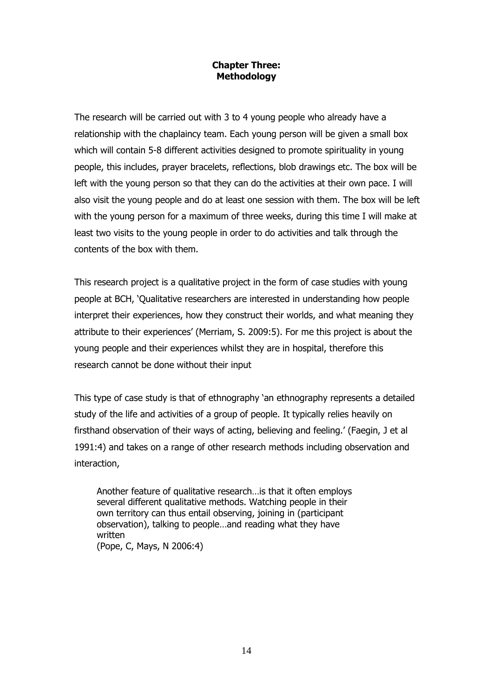#### **Chapter Three: Methodology**

The research will be carried out with 3 to 4 young people who already have a relationship with the chaplaincy team. Each young person will be given a small box which will contain 5-8 different activities designed to promote spirituality in young people, this includes, prayer bracelets, reflections, blob drawings etc. The box will be left with the young person so that they can do the activities at their own pace. I will also visit the young people and do at least one session with them. The box will be left with the young person for a maximum of three weeks, during this time I will make at least two visits to the young people in order to do activities and talk through the contents of the box with them.

This research project is a qualitative project in the form of case studies with young people at BCH, 'Qualitative researchers are interested in understanding how people interpret their experiences, how they construct their worlds, and what meaning they attribute to their experiences' (Merriam, S. 2009:5). For me this project is about the young people and their experiences whilst they are in hospital, therefore this research cannot be done without their input

This type of case study is that of ethnography 'an ethnography represents a detailed study of the life and activities of a group of people. It typically relies heavily on firsthand observation of their ways of acting, believing and feeling.' (Faegin, J et al 1991:4) and takes on a range of other research methods including observation and interaction,

Another feature of qualitative research…is that it often employs several different qualitative methods. Watching people in their own territory can thus entail observing, joining in (participant observation), talking to people…and reading what they have written (Pope, C, Mays, N 2006:4)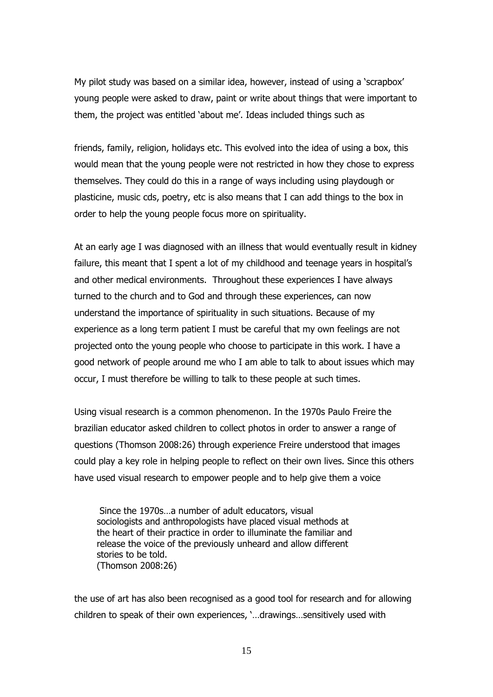My pilot study was based on a similar idea, however, instead of using a 'scrapbox' young people were asked to draw, paint or write about things that were important to them, the project was entitled 'about me'. Ideas included things such as

friends, family, religion, holidays etc. This evolved into the idea of using a box, this would mean that the young people were not restricted in how they chose to express themselves. They could do this in a range of ways including using playdough or plasticine, music cds, poetry, etc is also means that I can add things to the box in order to help the young people focus more on spirituality.

At an early age I was diagnosed with an illness that would eventually result in kidney failure, this meant that I spent a lot of my childhood and teenage years in hospital's and other medical environments. Throughout these experiences I have always turned to the church and to God and through these experiences, can now understand the importance of spirituality in such situations. Because of my experience as a long term patient I must be careful that my own feelings are not projected onto the young people who choose to participate in this work. I have a good network of people around me who I am able to talk to about issues which may occur, I must therefore be willing to talk to these people at such times.

Using visual research is a common phenomenon. In the 1970s Paulo Freire the brazilian educator asked children to collect photos in order to answer a range of questions (Thomson 2008:26) through experience Freire understood that images could play a key role in helping people to reflect on their own lives. Since this others have used visual research to empower people and to help give them a voice

Since the 1970s…a number of adult educators, visual sociologists and anthropologists have placed visual methods at the heart of their practice in order to illuminate the familiar and release the voice of the previously unheard and allow different stories to be told. (Thomson 2008:26)

the use of art has also been recognised as a good tool for research and for allowing children to speak of their own experiences, '…drawings…sensitively used with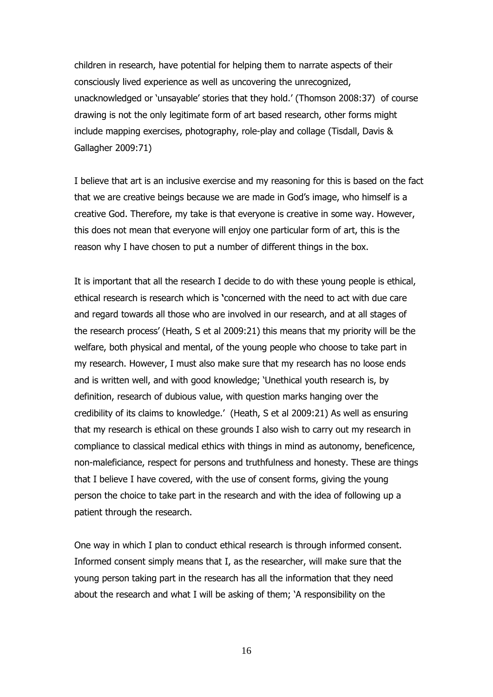children in research, have potential for helping them to narrate aspects of their consciously lived experience as well as uncovering the unrecognized, unacknowledged or 'unsayable' stories that they hold.' (Thomson 2008:37) of course drawing is not the only legitimate form of art based research, other forms might include mapping exercises, photography, role-play and collage (Tisdall, Davis & Gallagher 2009:71)

I believe that art is an inclusive exercise and my reasoning for this is based on the fact that we are creative beings because we are made in God's image, who himself is a creative God. Therefore, my take is that everyone is creative in some way. However, this does not mean that everyone will enjoy one particular form of art, this is the reason why I have chosen to put a number of different things in the box.

It is important that all the research I decide to do with these young people is ethical, ethical research is research which is **'**concerned with the need to act with due care and regard towards all those who are involved in our research, and at all stages of the research process' (Heath, S et al 2009:21) this means that my priority will be the welfare, both physical and mental, of the young people who choose to take part in my research. However, I must also make sure that my research has no loose ends and is written well, and with good knowledge; 'Unethical youth research is, by definition, research of dubious value, with question marks hanging over the credibility of its claims to knowledge.' (Heath, S et al 2009:21) As well as ensuring that my research is ethical on these grounds I also wish to carry out my research in compliance to classical medical ethics with things in mind as autonomy, beneficence, non-maleficiance, respect for persons and truthfulness and honesty. These are things that I believe I have covered, with the use of consent forms, giving the young person the choice to take part in the research and with the idea of following up a patient through the research.

One way in which I plan to conduct ethical research is through informed consent. Informed consent simply means that I, as the researcher, will make sure that the young person taking part in the research has all the information that they need about the research and what I will be asking of them; 'A responsibility on the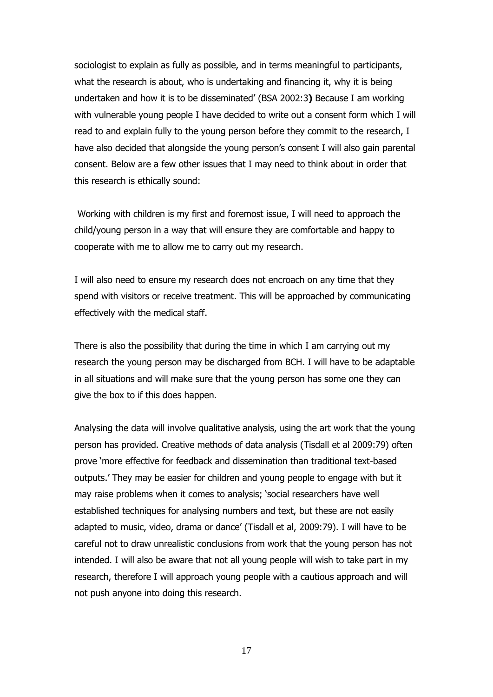sociologist to explain as fully as possible, and in terms meaningful to participants, what the research is about, who is undertaking and financing it, why it is being undertaken and how it is to be disseminated' (BSA 2002:3**)** Because I am working with vulnerable young people I have decided to write out a consent form which I will read to and explain fully to the young person before they commit to the research, I have also decided that alongside the young person's consent I will also gain parental consent. Below are a few other issues that I may need to think about in order that this research is ethically sound:

Working with children is my first and foremost issue, I will need to approach the child/young person in a way that will ensure they are comfortable and happy to cooperate with me to allow me to carry out my research.

I will also need to ensure my research does not encroach on any time that they spend with visitors or receive treatment. This will be approached by communicating effectively with the medical staff.

There is also the possibility that during the time in which I am carrying out my research the young person may be discharged from BCH. I will have to be adaptable in all situations and will make sure that the young person has some one they can give the box to if this does happen.

Analysing the data will involve qualitative analysis, using the art work that the young person has provided. Creative methods of data analysis (Tisdall et al 2009:79) often prove 'more effective for feedback and dissemination than traditional text-based outputs.' They may be easier for children and young people to engage with but it may raise problems when it comes to analysis; 'social researchers have well established techniques for analysing numbers and text, but these are not easily adapted to music, video, drama or dance' (Tisdall et al, 2009:79). I will have to be careful not to draw unrealistic conclusions from work that the young person has not intended. I will also be aware that not all young people will wish to take part in my research, therefore I will approach young people with a cautious approach and will not push anyone into doing this research.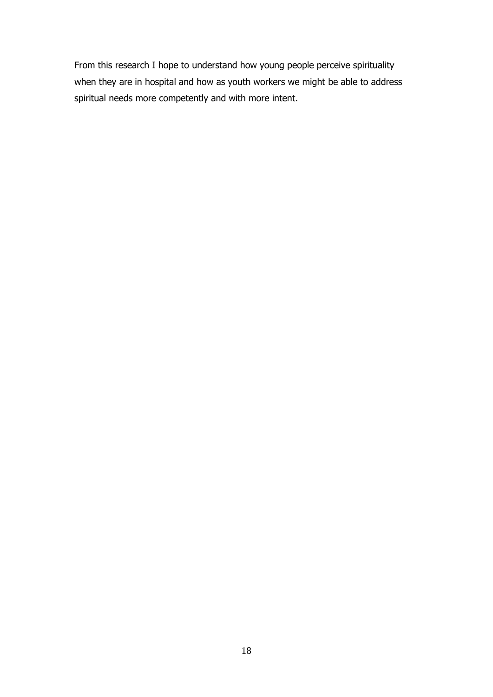From this research I hope to understand how young people perceive spirituality when they are in hospital and how as youth workers we might be able to address spiritual needs more competently and with more intent.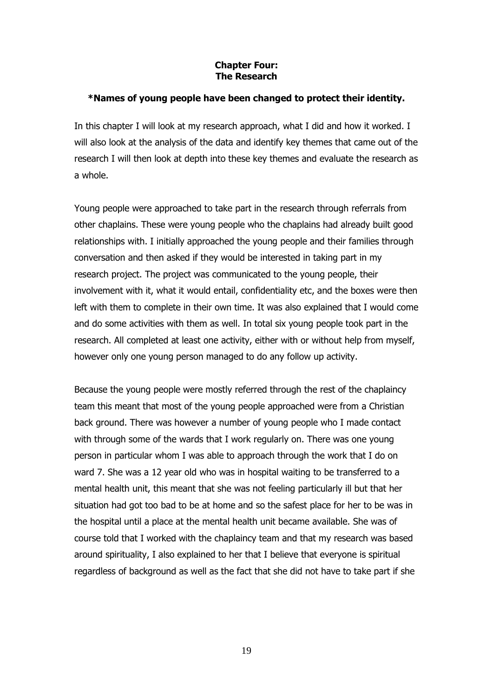#### **Chapter Four: The Research**

#### **\*Names of young people have been changed to protect their identity.**

In this chapter I will look at my research approach, what I did and how it worked. I will also look at the analysis of the data and identify key themes that came out of the research I will then look at depth into these key themes and evaluate the research as a whole.

Young people were approached to take part in the research through referrals from other chaplains. These were young people who the chaplains had already built good relationships with. I initially approached the young people and their families through conversation and then asked if they would be interested in taking part in my research project. The project was communicated to the young people, their involvement with it, what it would entail, confidentiality etc, and the boxes were then left with them to complete in their own time. It was also explained that I would come and do some activities with them as well. In total six young people took part in the research. All completed at least one activity, either with or without help from myself, however only one young person managed to do any follow up activity.

Because the young people were mostly referred through the rest of the chaplaincy team this meant that most of the young people approached were from a Christian back ground. There was however a number of young people who I made contact with through some of the wards that I work regularly on. There was one young person in particular whom I was able to approach through the work that I do on ward 7. She was a 12 year old who was in hospital waiting to be transferred to a mental health unit, this meant that she was not feeling particularly ill but that her situation had got too bad to be at home and so the safest place for her to be was in the hospital until a place at the mental health unit became available. She was of course told that I worked with the chaplaincy team and that my research was based around spirituality, I also explained to her that I believe that everyone is spiritual regardless of background as well as the fact that she did not have to take part if she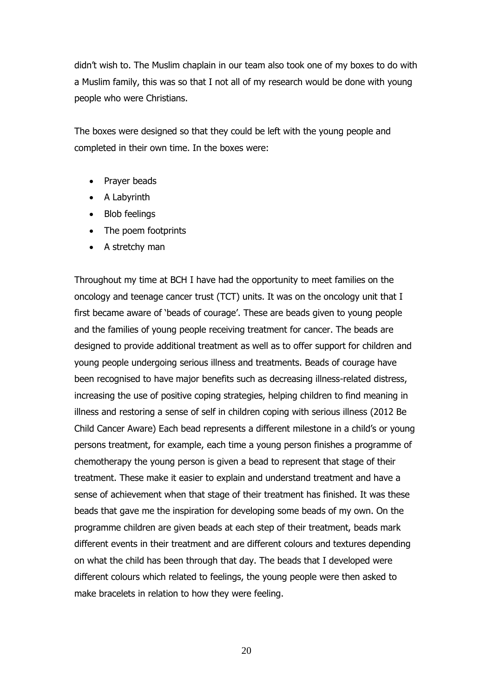didn't wish to. The Muslim chaplain in our team also took one of my boxes to do with a Muslim family, this was so that I not all of my research would be done with young people who were Christians.

The boxes were designed so that they could be left with the young people and completed in their own time. In the boxes were:

- Prayer beads
- A Labyrinth
- Blob feelings
- The poem footprints
- A stretchy man

Throughout my time at BCH I have had the opportunity to meet families on the oncology and teenage cancer trust (TCT) units. It was on the oncology unit that I first became aware of 'beads of courage'. These are beads given to young people and the families of young people receiving treatment for cancer. The beads are designed to provide additional treatment as well as to offer support for children and young people undergoing serious illness and treatments. Beads of courage have been recognised to have major benefits such as decreasing illness-related distress, increasing the use of positive coping strategies, helping children to find meaning in illness and restoring a sense of self in children coping with serious illness (2012 Be Child Cancer Aware) Each bead represents a different milestone in a child's or young persons treatment, for example, each time a young person finishes a programme of chemotherapy the young person is given a bead to represent that stage of their treatment. These make it easier to explain and understand treatment and have a sense of achievement when that stage of their treatment has finished. It was these beads that gave me the inspiration for developing some beads of my own. On the programme children are given beads at each step of their treatment, beads mark different events in their treatment and are different colours and textures depending on what the child has been through that day. The beads that I developed were different colours which related to feelings, the young people were then asked to make bracelets in relation to how they were feeling.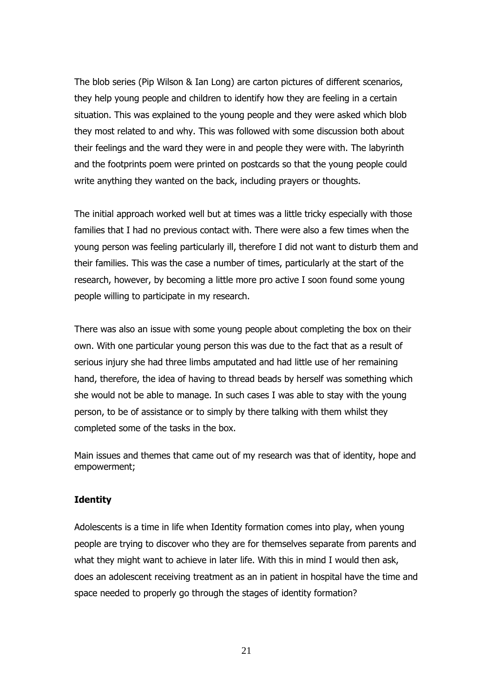The blob series (Pip Wilson & Ian Long) are carton pictures of different scenarios, they help young people and children to identify how they are feeling in a certain situation. This was explained to the young people and they were asked which blob they most related to and why. This was followed with some discussion both about their feelings and the ward they were in and people they were with. The labyrinth and the footprints poem were printed on postcards so that the young people could write anything they wanted on the back, including prayers or thoughts.

The initial approach worked well but at times was a little tricky especially with those families that I had no previous contact with. There were also a few times when the young person was feeling particularly ill, therefore I did not want to disturb them and their families. This was the case a number of times, particularly at the start of the research, however, by becoming a little more pro active I soon found some young people willing to participate in my research.

There was also an issue with some young people about completing the box on their own. With one particular young person this was due to the fact that as a result of serious injury she had three limbs amputated and had little use of her remaining hand, therefore, the idea of having to thread beads by herself was something which she would not be able to manage. In such cases I was able to stay with the young person, to be of assistance or to simply by there talking with them whilst they completed some of the tasks in the box.

Main issues and themes that came out of my research was that of identity, hope and empowerment;

#### **Identity**

Adolescents is a time in life when Identity formation comes into play, when young people are trying to discover who they are for themselves separate from parents and what they might want to achieve in later life. With this in mind I would then ask, does an adolescent receiving treatment as an in patient in hospital have the time and space needed to properly go through the stages of identity formation?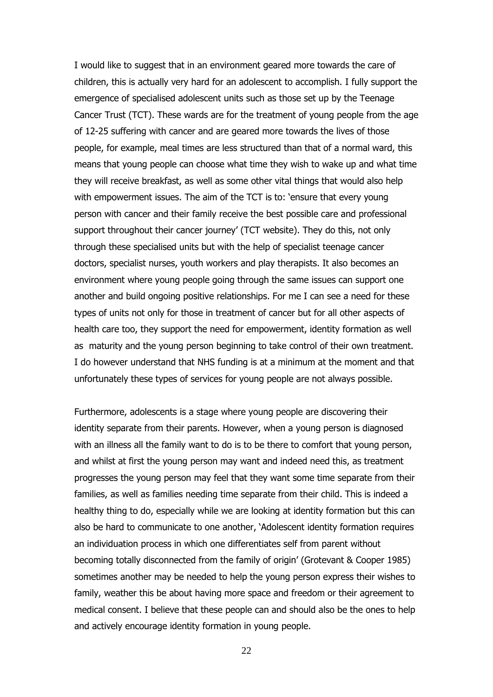I would like to suggest that in an environment geared more towards the care of children, this is actually very hard for an adolescent to accomplish. I fully support the emergence of specialised adolescent units such as those set up by the Teenage Cancer Trust (TCT). These wards are for the treatment of young people from the age of 12-25 suffering with cancer and are geared more towards the lives of those people, for example, meal times are less structured than that of a normal ward, this means that young people can choose what time they wish to wake up and what time they will receive breakfast, as well as some other vital things that would also help with empowerment issues. The aim of the TCT is to: 'ensure that every young person with cancer and their family receive the best possible care and professional support throughout their cancer journey' (TCT website). They do this, not only through these specialised units but with the help of specialist teenage cancer doctors, specialist nurses, youth workers and play therapists. It also becomes an environment where young people going through the same issues can support one another and build ongoing positive relationships. For me I can see a need for these types of units not only for those in treatment of cancer but for all other aspects of health care too, they support the need for empowerment, identity formation as well as maturity and the young person beginning to take control of their own treatment. I do however understand that NHS funding is at a minimum at the moment and that unfortunately these types of services for young people are not always possible.

Furthermore, adolescents is a stage where young people are discovering their identity separate from their parents. However, when a young person is diagnosed with an illness all the family want to do is to be there to comfort that young person, and whilst at first the young person may want and indeed need this, as treatment progresses the young person may feel that they want some time separate from their families, as well as families needing time separate from their child. This is indeed a healthy thing to do, especially while we are looking at identity formation but this can also be hard to communicate to one another, 'Adolescent identity formation requires an individuation process in which one differentiates self from parent without becoming totally disconnected from the family of origin' (Grotevant & Cooper 1985) sometimes another may be needed to help the young person express their wishes to family, weather this be about having more space and freedom or their agreement to medical consent. I believe that these people can and should also be the ones to help and actively encourage identity formation in young people.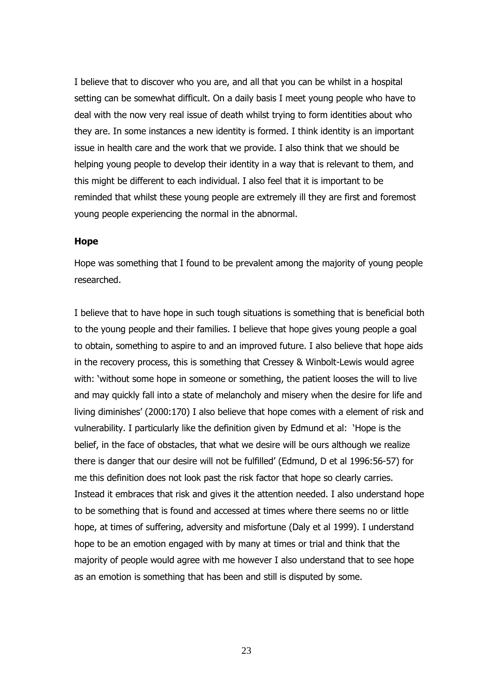I believe that to discover who you are, and all that you can be whilst in a hospital setting can be somewhat difficult. On a daily basis I meet young people who have to deal with the now very real issue of death whilst trying to form identities about who they are. In some instances a new identity is formed. I think identity is an important issue in health care and the work that we provide. I also think that we should be helping young people to develop their identity in a way that is relevant to them, and this might be different to each individual. I also feel that it is important to be reminded that whilst these young people are extremely ill they are first and foremost young people experiencing the normal in the abnormal.

#### **Hope**

Hope was something that I found to be prevalent among the majority of young people researched.

I believe that to have hope in such tough situations is something that is beneficial both to the young people and their families. I believe that hope gives young people a goal to obtain, something to aspire to and an improved future. I also believe that hope aids in the recovery process, this is something that Cressey & Winbolt-Lewis would agree with: 'without some hope in someone or something, the patient looses the will to live and may quickly fall into a state of melancholy and misery when the desire for life and living diminishes' (2000:170) I also believe that hope comes with a element of risk and vulnerability. I particularly like the definition given by Edmund et al: 'Hope is the belief, in the face of obstacles, that what we desire will be ours although we realize there is danger that our desire will not be fulfilled' (Edmund, D et al 1996:56-57) for me this definition does not look past the risk factor that hope so clearly carries. Instead it embraces that risk and gives it the attention needed. I also understand hope to be something that is found and accessed at times where there seems no or little hope, at times of suffering, adversity and misfortune (Daly et al 1999). I understand hope to be an emotion engaged with by many at times or trial and think that the majority of people would agree with me however I also understand that to see hope as an emotion is something that has been and still is disputed by some.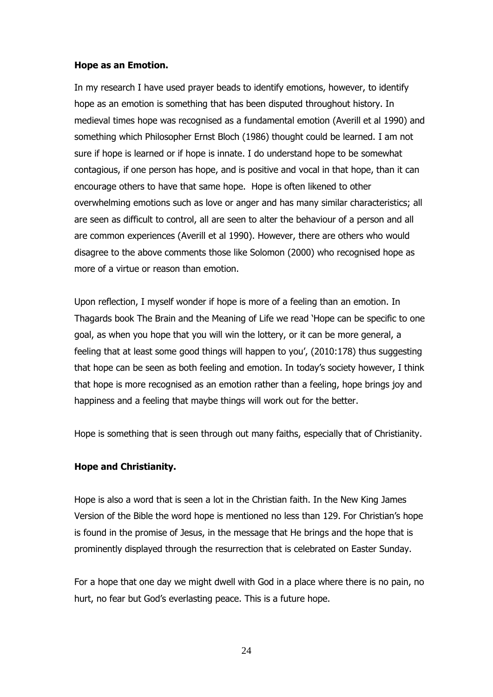#### **Hope as an Emotion.**

In my research I have used prayer beads to identify emotions, however, to identify hope as an emotion is something that has been disputed throughout history. In medieval times hope was recognised as a fundamental emotion (Averill et al 1990) and something which Philosopher Ernst Bloch (1986) thought could be learned. I am not sure if hope is learned or if hope is innate. I do understand hope to be somewhat contagious, if one person has hope, and is positive and vocal in that hope, than it can encourage others to have that same hope. Hope is often likened to other overwhelming emotions such as love or anger and has many similar characteristics; all are seen as difficult to control, all are seen to alter the behaviour of a person and all are common experiences (Averill et al 1990). However, there are others who would disagree to the above comments those like Solomon (2000) who recognised hope as more of a virtue or reason than emotion.

Upon reflection, I myself wonder if hope is more of a feeling than an emotion. In Thagards book The Brain and the Meaning of Life we read 'Hope can be specific to one goal, as when you hope that you will win the lottery, or it can be more general, a feeling that at least some good things will happen to you', (2010:178) thus suggesting that hope can be seen as both feeling and emotion. In today's society however, I think that hope is more recognised as an emotion rather than a feeling, hope brings joy and happiness and a feeling that maybe things will work out for the better.

Hope is something that is seen through out many faiths, especially that of Christianity.

#### **Hope and Christianity.**

Hope is also a word that is seen a lot in the Christian faith. In the New King James Version of the Bible the word hope is mentioned no less than 129. For Christian's hope is found in the promise of Jesus, in the message that He brings and the hope that is prominently displayed through the resurrection that is celebrated on Easter Sunday.

For a hope that one day we might dwell with God in a place where there is no pain, no hurt, no fear but God's everlasting peace. This is a future hope.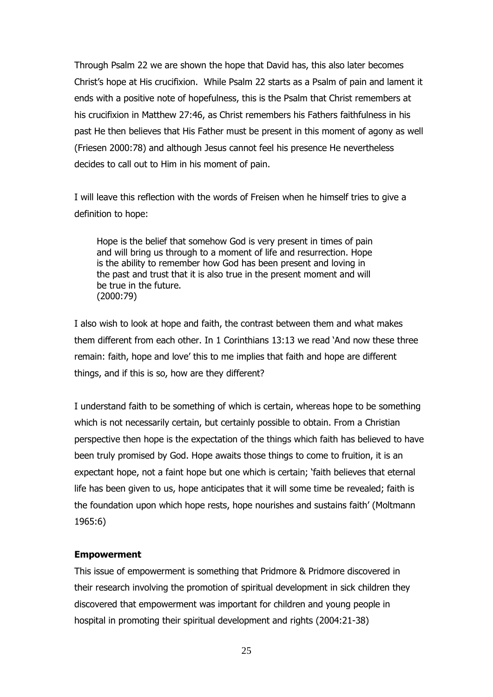Through Psalm 22 we are shown the hope that David has, this also later becomes Christ's hope at His crucifixion. While Psalm 22 starts as a Psalm of pain and lament it ends with a positive note of hopefulness, this is the Psalm that Christ remembers at his crucifixion in Matthew 27:46, as Christ remembers his Fathers faithfulness in his past He then believes that His Father must be present in this moment of agony as well (Friesen 2000:78) and although Jesus cannot feel his presence He nevertheless decides to call out to Him in his moment of pain.

I will leave this reflection with the words of Freisen when he himself tries to give a definition to hope:

Hope is the belief that somehow God is very present in times of pain and will bring us through to a moment of life and resurrection. Hope is the ability to remember how God has been present and loving in the past and trust that it is also true in the present moment and will be true in the future. (2000:79)

I also wish to look at hope and faith, the contrast between them and what makes them different from each other. In 1 Corinthians 13:13 we read 'And now these three remain: faith, hope and love' this to me implies that faith and hope are different things, and if this is so, how are they different?

I understand faith to be something of which is certain, whereas hope to be something which is not necessarily certain, but certainly possible to obtain. From a Christian perspective then hope is the expectation of the things which faith has believed to have been truly promised by God. Hope awaits those things to come to fruition, it is an expectant hope, not a faint hope but one which is certain; 'faith believes that eternal life has been given to us, hope anticipates that it will some time be revealed; faith is the foundation upon which hope rests, hope nourishes and sustains faith' (Moltmann 1965:6)

#### **Empowerment**

This issue of empowerment is something that Pridmore & Pridmore discovered in their research involving the promotion of spiritual development in sick children they discovered that empowerment was important for children and young people in hospital in promoting their spiritual development and rights (2004:21-38)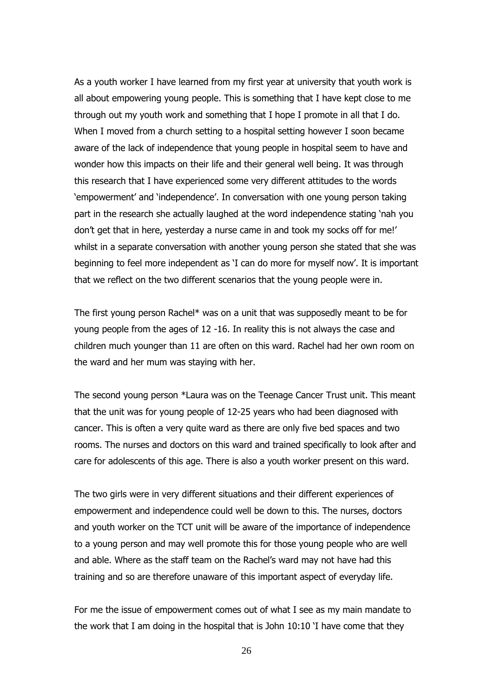As a youth worker I have learned from my first year at university that youth work is all about empowering young people. This is something that I have kept close to me through out my youth work and something that I hope I promote in all that I do. When I moved from a church setting to a hospital setting however I soon became aware of the lack of independence that young people in hospital seem to have and wonder how this impacts on their life and their general well being. It was through this research that I have experienced some very different attitudes to the words 'empowerment' and 'independence'. In conversation with one young person taking part in the research she actually laughed at the word independence stating 'nah you don't get that in here, yesterday a nurse came in and took my socks off for me!' whilst in a separate conversation with another young person she stated that she was beginning to feel more independent as 'I can do more for myself now'. It is important that we reflect on the two different scenarios that the young people were in.

The first young person Rachel\* was on a unit that was supposedly meant to be for young people from the ages of 12 -16. In reality this is not always the case and children much younger than 11 are often on this ward. Rachel had her own room on the ward and her mum was staying with her.

The second young person \*Laura was on the Teenage Cancer Trust unit. This meant that the unit was for young people of 12-25 years who had been diagnosed with cancer. This is often a very quite ward as there are only five bed spaces and two rooms. The nurses and doctors on this ward and trained specifically to look after and care for adolescents of this age. There is also a youth worker present on this ward.

The two girls were in very different situations and their different experiences of empowerment and independence could well be down to this. The nurses, doctors and youth worker on the TCT unit will be aware of the importance of independence to a young person and may well promote this for those young people who are well and able. Where as the staff team on the Rachel's ward may not have had this training and so are therefore unaware of this important aspect of everyday life.

For me the issue of empowerment comes out of what I see as my main mandate to the work that I am doing in the hospital that is John 10:10 'I have come that they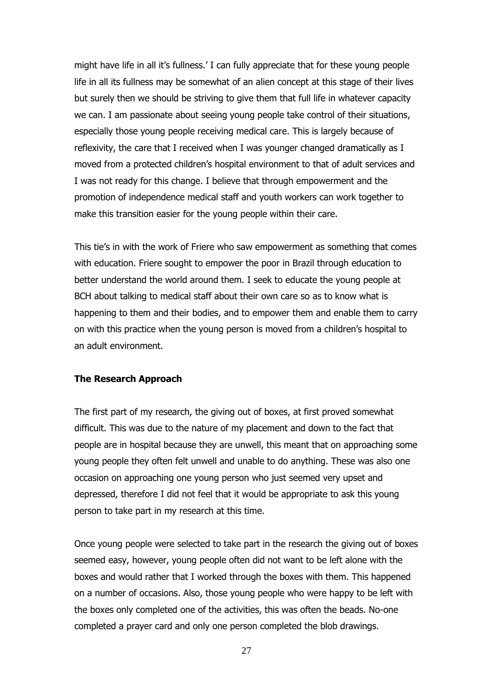might have life in all it's fullness.' I can fully appreciate that for these young people life in all its fullness may be somewhat of an alien concept at this stage of their lives but surely then we should be striving to give them that full life in whatever capacity we can. I am passionate about seeing young people take control of their situations, especially those young people receiving medical care. This is largely because of reflexivity, the care that I received when I was younger changed dramatically as I moved from a protected children's hospital environment to that of adult services and I was not ready for this change. I believe that through empowerment and the promotion of independence medical staff and youth workers can work together to make this transition easier for the young people within their care.

This tie's in with the work of Friere who saw empowerment as something that comes with education. Friere sought to empower the poor in Brazil through education to better understand the world around them. I seek to educate the young people at BCH about talking to medical staff about their own care so as to know what is happening to them and their bodies, and to empower them and enable them to carry on with this practice when the young person is moved from a children's hospital to an adult environment.

#### **The Research Approach**

The first part of my research, the giving out of boxes, at first proved somewhat difficult. This was due to the nature of my placement and down to the fact that people are in hospital because they are unwell, this meant that on approaching some young people they often felt unwell and unable to do anything. These was also one occasion on approaching one young person who just seemed very upset and depressed, therefore I did not feel that it would be appropriate to ask this young person to take part in my research at this time.

Once young people were selected to take part in the research the giving out of boxes seemed easy, however, young people often did not want to be left alone with the boxes and would rather that I worked through the boxes with them. This happened on a number of occasions. Also, those young people who were happy to be left with the boxes only completed one of the activities, this was often the beads. No-one completed a prayer card and only one person completed the blob drawings.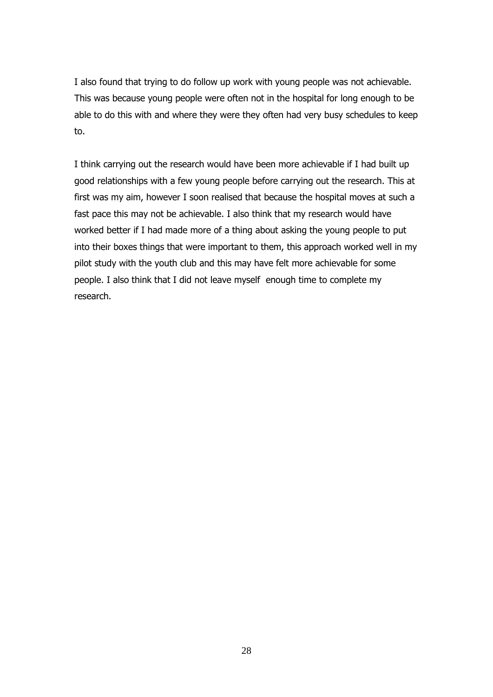I also found that trying to do follow up work with young people was not achievable. This was because young people were often not in the hospital for long enough to be able to do this with and where they were they often had very busy schedules to keep to.

I think carrying out the research would have been more achievable if I had built up good relationships with a few young people before carrying out the research. This at first was my aim, however I soon realised that because the hospital moves at such a fast pace this may not be achievable. I also think that my research would have worked better if I had made more of a thing about asking the young people to put into their boxes things that were important to them, this approach worked well in my pilot study with the youth club and this may have felt more achievable for some people. I also think that I did not leave myself enough time to complete my research.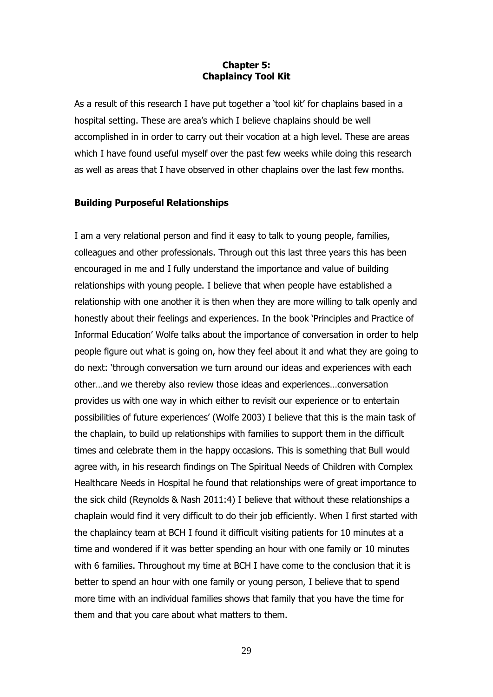#### **Chapter 5: Chaplaincy Tool Kit**

As a result of this research I have put together a 'tool kit' for chaplains based in a hospital setting. These are area's which I believe chaplains should be well accomplished in in order to carry out their vocation at a high level. These are areas which I have found useful myself over the past few weeks while doing this research as well as areas that I have observed in other chaplains over the last few months.

#### **Building Purposeful Relationships**

I am a very relational person and find it easy to talk to young people, families, colleagues and other professionals. Through out this last three years this has been encouraged in me and I fully understand the importance and value of building relationships with young people. I believe that when people have established a relationship with one another it is then when they are more willing to talk openly and honestly about their feelings and experiences. In the book 'Principles and Practice of Informal Education' Wolfe talks about the importance of conversation in order to help people figure out what is going on, how they feel about it and what they are going to do next: 'through conversation we turn around our ideas and experiences with each other…and we thereby also review those ideas and experiences…conversation provides us with one way in which either to revisit our experience or to entertain possibilities of future experiences' (Wolfe 2003) I believe that this is the main task of the chaplain, to build up relationships with families to support them in the difficult times and celebrate them in the happy occasions. This is something that Bull would agree with, in his research findings on The Spiritual Needs of Children with Complex Healthcare Needs in Hospital he found that relationships were of great importance to the sick child (Reynolds & Nash 2011:4) I believe that without these relationships a chaplain would find it very difficult to do their job efficiently. When I first started with the chaplaincy team at BCH I found it difficult visiting patients for 10 minutes at a time and wondered if it was better spending an hour with one family or 10 minutes with 6 families. Throughout my time at BCH I have come to the conclusion that it is better to spend an hour with one family or young person, I believe that to spend more time with an individual families shows that family that you have the time for them and that you care about what matters to them.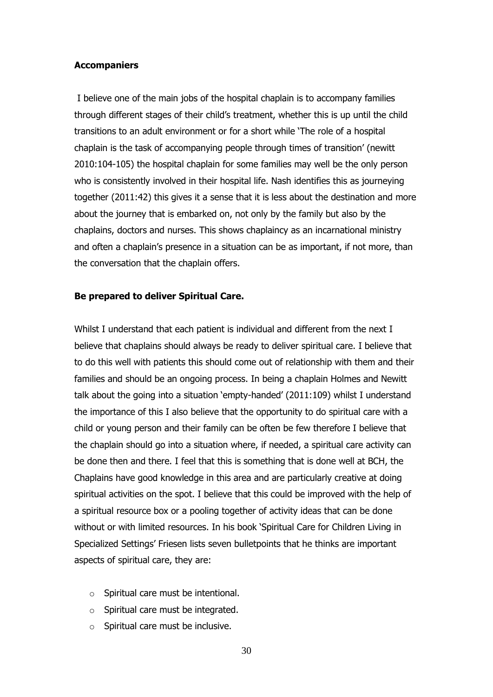#### **Accompaniers**

I believe one of the main jobs of the hospital chaplain is to accompany families through different stages of their child's treatment, whether this is up until the child transitions to an adult environment or for a short while 'The role of a hospital chaplain is the task of accompanying people through times of transition' (newitt 2010:104-105) the hospital chaplain for some families may well be the only person who is consistently involved in their hospital life. Nash identifies this as journeying together (2011:42) this gives it a sense that it is less about the destination and more about the journey that is embarked on, not only by the family but also by the chaplains, doctors and nurses. This shows chaplaincy as an incarnational ministry and often a chaplain's presence in a situation can be as important, if not more, than the conversation that the chaplain offers.

#### **Be prepared to deliver Spiritual Care.**

Whilst I understand that each patient is individual and different from the next I believe that chaplains should always be ready to deliver spiritual care. I believe that to do this well with patients this should come out of relationship with them and their families and should be an ongoing process. In being a chaplain Holmes and Newitt talk about the going into a situation 'empty-handed' (2011:109) whilst I understand the importance of this I also believe that the opportunity to do spiritual care with a child or young person and their family can be often be few therefore I believe that the chaplain should go into a situation where, if needed, a spiritual care activity can be done then and there. I feel that this is something that is done well at BCH, the Chaplains have good knowledge in this area and are particularly creative at doing spiritual activities on the spot. I believe that this could be improved with the help of a spiritual resource box or a pooling together of activity ideas that can be done without or with limited resources. In his book 'Spiritual Care for Children Living in Specialized Settings' Friesen lists seven bulletpoints that he thinks are important aspects of spiritual care, they are:

- o Spiritual care must be intentional.
- o Spiritual care must be integrated.
- o Spiritual care must be inclusive.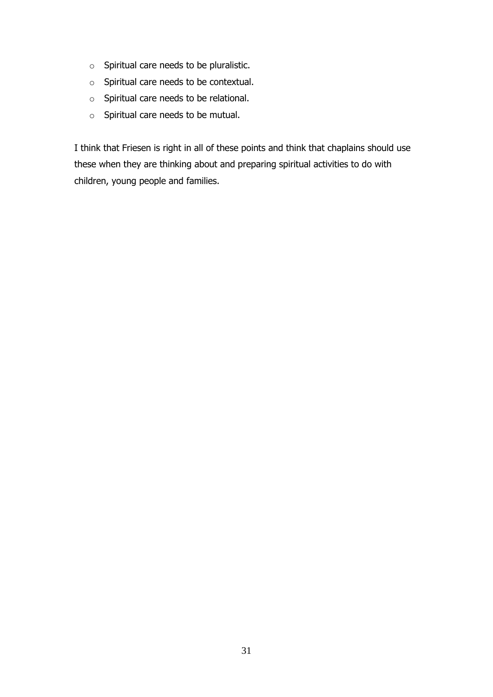- o Spiritual care needs to be pluralistic.
- o Spiritual care needs to be contextual.
- o Spiritual care needs to be relational.
- o Spiritual care needs to be mutual.

I think that Friesen is right in all of these points and think that chaplains should use these when they are thinking about and preparing spiritual activities to do with children, young people and families.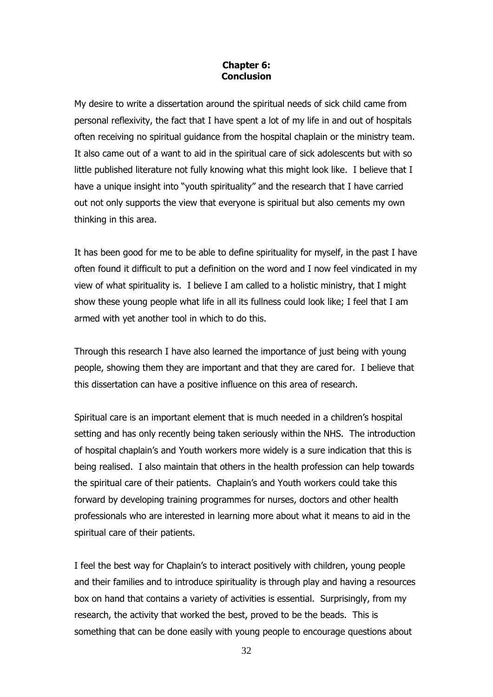#### **Chapter 6: Conclusion**

My desire to write a dissertation around the spiritual needs of sick child came from personal reflexivity, the fact that I have spent a lot of my life in and out of hospitals often receiving no spiritual guidance from the hospital chaplain or the ministry team. It also came out of a want to aid in the spiritual care of sick adolescents but with so little published literature not fully knowing what this might look like. I believe that I have a unique insight into "youth spirituality" and the research that I have carried out not only supports the view that everyone is spiritual but also cements my own thinking in this area.

It has been good for me to be able to define spirituality for myself, in the past I have often found it difficult to put a definition on the word and I now feel vindicated in my view of what spirituality is. I believe I am called to a holistic ministry, that I might show these young people what life in all its fullness could look like; I feel that I am armed with yet another tool in which to do this.

Through this research I have also learned the importance of just being with young people, showing them they are important and that they are cared for. I believe that this dissertation can have a positive influence on this area of research.

Spiritual care is an important element that is much needed in a children's hospital setting and has only recently being taken seriously within the NHS. The introduction of hospital chaplain's and Youth workers more widely is a sure indication that this is being realised. I also maintain that others in the health profession can help towards the spiritual care of their patients. Chaplain's and Youth workers could take this forward by developing training programmes for nurses, doctors and other health professionals who are interested in learning more about what it means to aid in the spiritual care of their patients.

I feel the best way for Chaplain's to interact positively with children, young people and their families and to introduce spirituality is through play and having a resources box on hand that contains a variety of activities is essential. Surprisingly, from my research, the activity that worked the best, proved to be the beads. This is something that can be done easily with young people to encourage questions about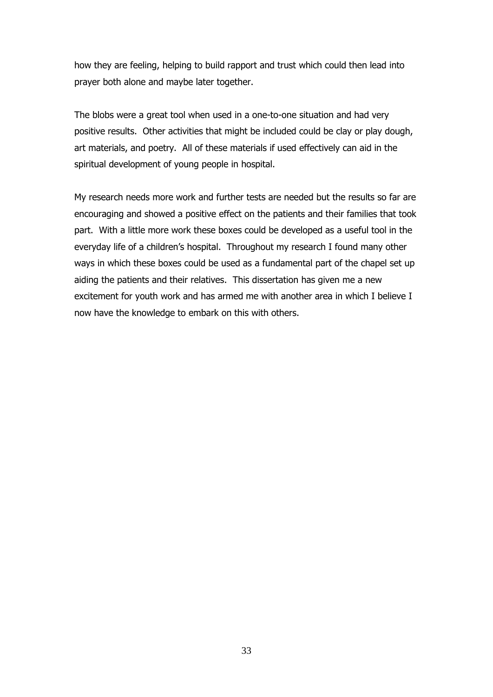how they are feeling, helping to build rapport and trust which could then lead into prayer both alone and maybe later together.

The blobs were a great tool when used in a one-to-one situation and had very positive results. Other activities that might be included could be clay or play dough, art materials, and poetry. All of these materials if used effectively can aid in the spiritual development of young people in hospital.

My research needs more work and further tests are needed but the results so far are encouraging and showed a positive effect on the patients and their families that took part. With a little more work these boxes could be developed as a useful tool in the everyday life of a children's hospital. Throughout my research I found many other ways in which these boxes could be used as a fundamental part of the chapel set up aiding the patients and their relatives. This dissertation has given me a new excitement for youth work and has armed me with another area in which I believe I now have the knowledge to embark on this with others.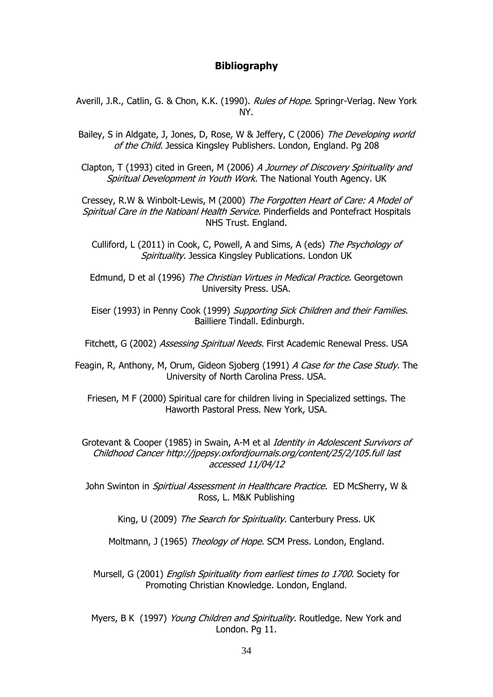#### **Bibliography**

- Averill, J.R., Catlin, G. & Chon, K.K. (1990). Rules of Hope. Springr-Verlag. New York NY.
- Bailey, S in Aldgate, J, Jones, D, Rose, W & Jeffery, C (2006) The Developing world of the Child. Jessica Kingsley Publishers. London, England. Pg 208

Clapton, T (1993) cited in Green, M (2006) A Journey of Discovery Spirituality and Spiritual Development in Youth Work. The National Youth Agency. UK

Cressey, R.W & Winbolt-Lewis, M (2000) The Forgotten Heart of Care: A Model of Spiritual Care in the Natioanl Health Service. Pinderfields and Pontefract Hospitals NHS Trust. England.

Culliford, L (2011) in Cook, C, Powell, A and Sims, A (eds) The Psychology of Spirituality. Jessica Kingsley Publications. London UK

Edmund, D et al (1996) The Christian Virtues in Medical Practice. Georgetown University Press. USA.

Eiser (1993) in Penny Cook (1999) Supporting Sick Children and their Families. Bailliere Tindall. Edinburgh.

Fitchett, G (2002) Assessing Spiritual Needs. First Academic Renewal Press. USA

Feagin, R, Anthony, M, Orum, Gideon Sjoberg (1991) A Case for the Case Study. The University of North Carolina Press. USA.

Friesen, M F (2000) Spiritual care for children living in Specialized settings. The Haworth Pastoral Press. New York, USA.

Grotevant & Cooper (1985) in Swain, A-M et al Identity in Adolescent Survivors of Childhood Cancer http://jpepsy.oxfordjournals.org/content/25/2/105.full last accessed 11/04/12

John Swinton in *Spirtiual Assessment in Healthcare Practice.* ED McSherry, W & Ross, L. M&K Publishing

King, U (2009) The Search for Spirituality. Canterbury Press. UK

Moltmann, J (1965) Theology of Hope. SCM Press. London, England.

Mursell, G (2001) English Spirituality from earliest times to 1700. Society for Promoting Christian Knowledge. London, England.

Myers, B K (1997) Young Children and Spirituality. Routledge. New York and London. Pg 11.